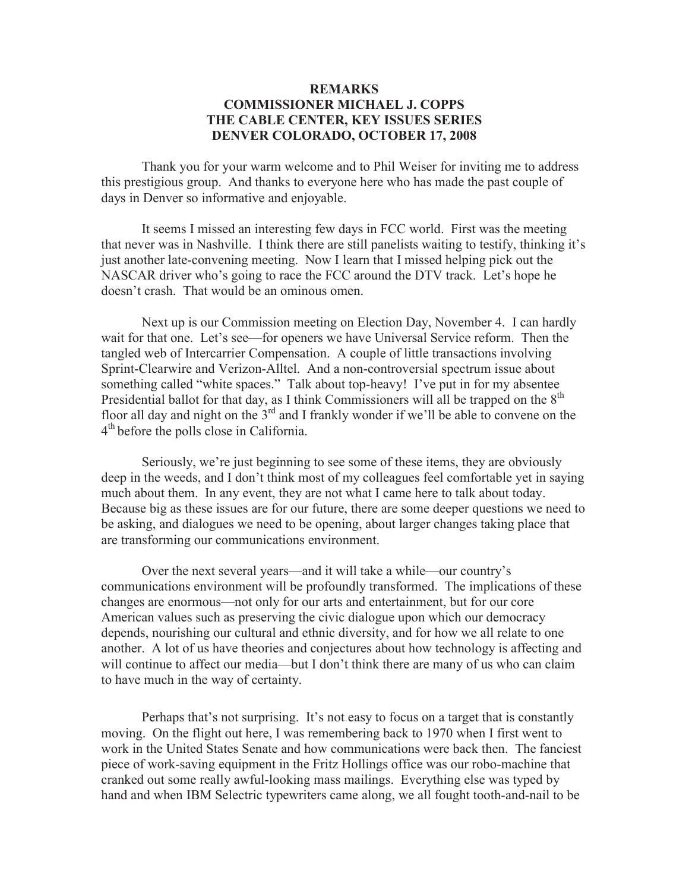## **REMARKS COMMISSIONER MICHAEL J. COPPS THE CABLE CENTER, KEY ISSUES SERIES DENVER COLORADO, OCTOBER 17, 2008**

Thank you for your warm welcome and to Phil Weiser for inviting me to address this prestigious group. And thanks to everyone here who has made the past couple of days in Denver so informative and enjoyable.

It seems I missed an interesting few days in FCC world. First was the meeting that never was in Nashville. I think there are still panelists waiting to testify, thinking it's just another late-convening meeting. Now I learn that I missed helping pick out the NASCAR driver who's going to race the FCC around the DTV track. Let's hope he doesn't crash. That would be an ominous omen.

Next up is our Commission meeting on Election Day, November 4. I can hardly wait for that one. Let's see—for openers we have Universal Service reform. Then the tangled web of Intercarrier Compensation. A couple of little transactions involving Sprint-Clearwire and Verizon-Alltel. And a non-controversial spectrum issue about something called "white spaces." Talk about top-heavy! I've put in for my absentee Presidential ballot for that day, as I think Commissioners will all be trapped on the 8<sup>th</sup> floor all day and night on the  $3<sup>rd</sup>$  and I frankly wonder if we'll be able to convene on the 4<sup>th</sup> before the polls close in California.

Seriously, we're just beginning to see some of these items, they are obviously deep in the weeds, and I don't think most of my colleagues feel comfortable yet in saying much about them. In any event, they are not what I came here to talk about today. Because big as these issues are for our future, there are some deeper questions we need to be asking, and dialogues we need to be opening, about larger changes taking place that are transforming our communications environment.

Over the next several years—and it will take a while—our country's communications environment will be profoundly transformed. The implications of these changes are enormous—not only for our arts and entertainment, but for our core American values such as preserving the civic dialogue upon which our democracy depends, nourishing our cultural and ethnic diversity, and for how we all relate to one another. A lot of us have theories and conjectures about how technology is affecting and will continue to affect our media—but I don't think there are many of us who can claim to have much in the way of certainty.

Perhaps that's not surprising. It's not easy to focus on a target that is constantly moving. On the flight out here, I was remembering back to 1970 when I first went to work in the United States Senate and how communications were back then. The fanciest piece of work-saving equipment in the Fritz Hollings office was our robo-machine that cranked out some really awful-looking mass mailings. Everything else was typed by hand and when IBM Selectric typewriters came along, we all fought tooth-and-nail to be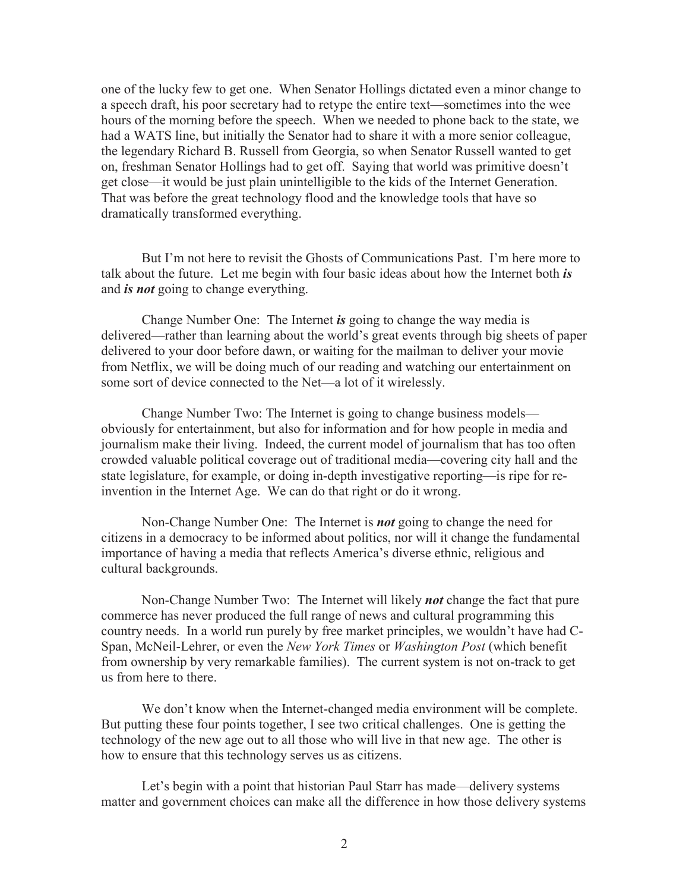one of the lucky few to get one. When Senator Hollings dictated even a minor change to a speech draft, his poor secretary had to retype the entire text—sometimes into the wee hours of the morning before the speech. When we needed to phone back to the state, we had a WATS line, but initially the Senator had to share it with a more senior colleague, the legendary Richard B. Russell from Georgia, so when Senator Russell wanted to get on, freshman Senator Hollings had to get off. Saying that world was primitive doesn't get close—it would be just plain unintelligible to the kids of the Internet Generation. That was before the great technology flood and the knowledge tools that have so dramatically transformed everything.

But I'm not here to revisit the Ghosts of Communications Past. I'm here more to talk about the future. Let me begin with four basic ideas about how the Internet both *is* and *is not* going to change everything.

Change Number One: The Internet *is* going to change the way media is delivered—rather than learning about the world's great events through big sheets of paper delivered to your door before dawn, or waiting for the mailman to deliver your movie from Netflix, we will be doing much of our reading and watching our entertainment on some sort of device connected to the Net—a lot of it wirelessly.

Change Number Two: The Internet is going to change business models obviously for entertainment, but also for information and for how people in media and journalism make their living. Indeed, the current model of journalism that has too often crowded valuable political coverage out of traditional media—covering city hall and the state legislature, for example, or doing in-depth investigative reporting—is ripe for reinvention in the Internet Age. We can do that right or do it wrong.

Non-Change Number One: The Internet is *not* going to change the need for citizens in a democracy to be informed about politics, nor will it change the fundamental importance of having a media that reflects America's diverse ethnic, religious and cultural backgrounds.

Non-Change Number Two: The Internet will likely *not* change the fact that pure commerce has never produced the full range of news and cultural programming this country needs. In a world run purely by free market principles, we wouldn't have had C-Span, McNeil-Lehrer, or even the *New York Times* or *Washington Post* (which benefit from ownership by very remarkable families). The current system is not on-track to get us from here to there.

We don't know when the Internet-changed media environment will be complete. But putting these four points together, I see two critical challenges. One is getting the technology of the new age out to all those who will live in that new age. The other is how to ensure that this technology serves us as citizens.

Let's begin with a point that historian Paul Starr has made—delivery systems matter and government choices can make all the difference in how those delivery systems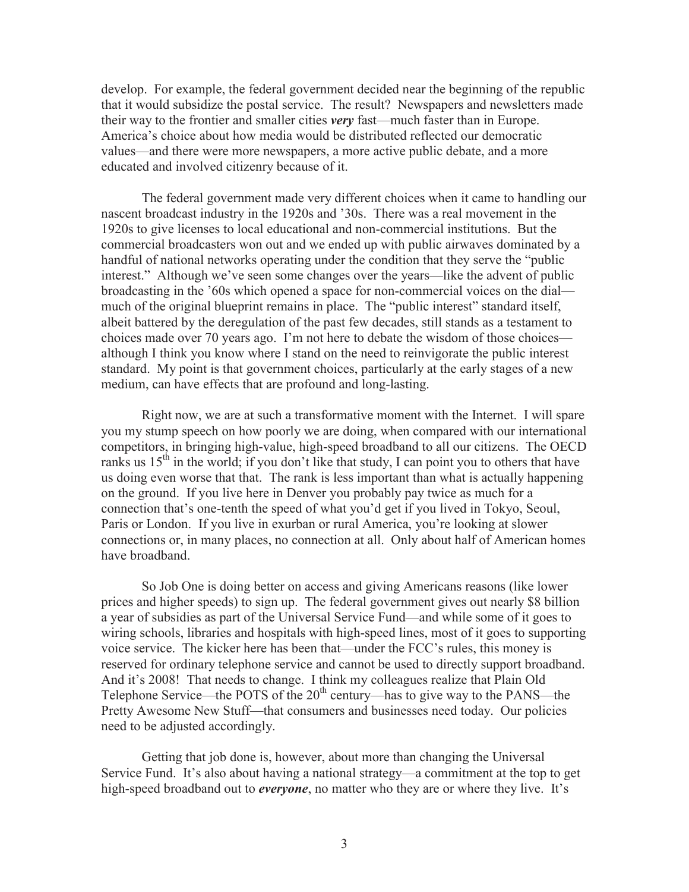develop. For example, the federal government decided near the beginning of the republic that it would subsidize the postal service. The result? Newspapers and newsletters made their way to the frontier and smaller cities *very* fast—much faster than in Europe. America's choice about how media would be distributed reflected our democratic values—and there were more newspapers, a more active public debate, and a more educated and involved citizenry because of it.

The federal government made very different choices when it came to handling our nascent broadcast industry in the 1920s and '30s. There was a real movement in the 1920s to give licenses to local educational and non-commercial institutions. But the commercial broadcasters won out and we ended up with public airwaves dominated by a handful of national networks operating under the condition that they serve the "public interest." Although we've seen some changes over the years—like the advent of public broadcasting in the '60s which opened a space for non-commercial voices on the dial much of the original blueprint remains in place. The "public interest" standard itself, albeit battered by the deregulation of the past few decades, still stands as a testament to choices made over 70 years ago. I'm not here to debate the wisdom of those choices although I think you know where I stand on the need to reinvigorate the public interest standard. My point is that government choices, particularly at the early stages of a new medium, can have effects that are profound and long-lasting.

Right now, we are at such a transformative moment with the Internet. I will spare you my stump speech on how poorly we are doing, when compared with our international competitors, in bringing high-value, high-speed broadband to all our citizens. The OECD ranks us  $15<sup>th</sup>$  in the world; if you don't like that study, I can point you to others that have us doing even worse that that. The rank is less important than what is actually happening on the ground. If you live here in Denver you probably pay twice as much for a connection that's one-tenth the speed of what you'd get if you lived in Tokyo, Seoul, Paris or London. If you live in exurban or rural America, you're looking at slower connections or, in many places, no connection at all. Only about half of American homes have broadband.

So Job One is doing better on access and giving Americans reasons (like lower prices and higher speeds) to sign up. The federal government gives out nearly \$8 billion a year of subsidies as part of the Universal Service Fund—and while some of it goes to wiring schools, libraries and hospitals with high-speed lines, most of it goes to supporting voice service. The kicker here has been that—under the FCC's rules, this money is reserved for ordinary telephone service and cannot be used to directly support broadband. And it's 2008! That needs to change. I think my colleagues realize that Plain Old Telephone Service—the POTS of the  $20<sup>th</sup>$  century—has to give way to the PANS—the Pretty Awesome New Stuff—that consumers and businesses need today. Our policies need to be adjusted accordingly.

Getting that job done is, however, about more than changing the Universal Service Fund. It's also about having a national strategy—a commitment at the top to get high-speed broadband out to *everyone*, no matter who they are or where they live. It's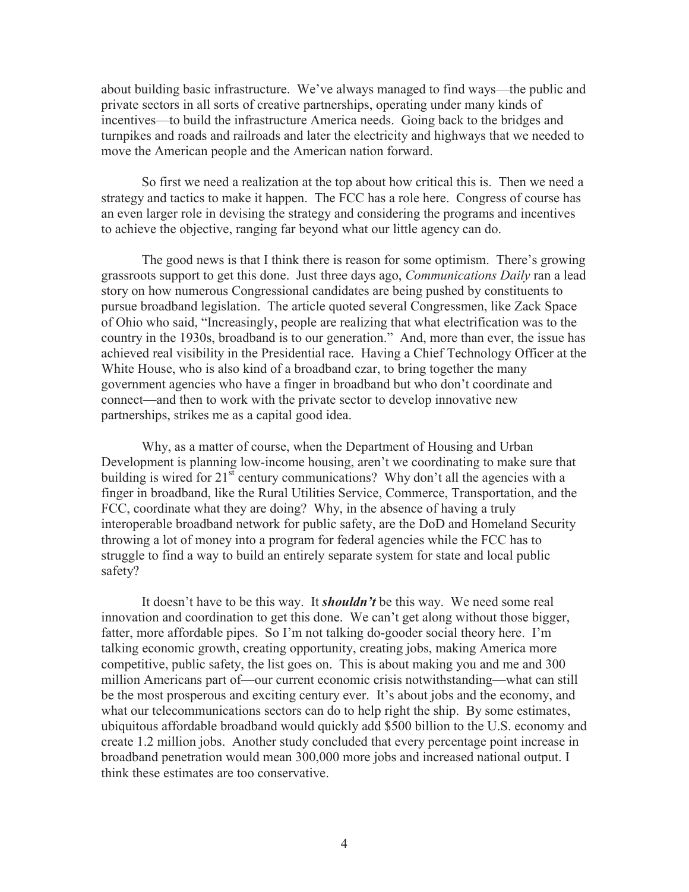about building basic infrastructure. We've always managed to find ways—the public and private sectors in all sorts of creative partnerships, operating under many kinds of incentives—to build the infrastructure America needs. Going back to the bridges and turnpikes and roads and railroads and later the electricity and highways that we needed to move the American people and the American nation forward.

So first we need a realization at the top about how critical this is. Then we need a strategy and tactics to make it happen. The FCC has a role here. Congress of course has an even larger role in devising the strategy and considering the programs and incentives to achieve the objective, ranging far beyond what our little agency can do.

The good news is that I think there is reason for some optimism. There's growing grassroots support to get this done. Just three days ago, *Communications Daily* ran a lead story on how numerous Congressional candidates are being pushed by constituents to pursue broadband legislation. The article quoted several Congressmen, like Zack Space of Ohio who said, "Increasingly, people are realizing that what electrification was to the country in the 1930s, broadband is to our generation." And, more than ever, the issue has achieved real visibility in the Presidential race. Having a Chief Technology Officer at the White House, who is also kind of a broadband czar, to bring together the many government agencies who have a finger in broadband but who don't coordinate and connect—and then to work with the private sector to develop innovative new partnerships, strikes me as a capital good idea.

Why, as a matter of course, when the Department of Housing and Urban Development is planning low-income housing, aren't we coordinating to make sure that building is wired for  $21<sup>st</sup>$  century communications? Why don't all the agencies with a finger in broadband, like the Rural Utilities Service, Commerce, Transportation, and the FCC, coordinate what they are doing? Why, in the absence of having a truly interoperable broadband network for public safety, are the DoD and Homeland Security throwing a lot of money into a program for federal agencies while the FCC has to struggle to find a way to build an entirely separate system for state and local public safety?

It doesn't have to be this way. It *shouldn't* be this way. We need some real innovation and coordination to get this done. We can't get along without those bigger, fatter, more affordable pipes. So I'm not talking do-gooder social theory here. I'm talking economic growth, creating opportunity, creating jobs, making America more competitive, public safety, the list goes on. This is about making you and me and 300 million Americans part of—our current economic crisis notwithstanding—what can still be the most prosperous and exciting century ever. It's about jobs and the economy, and what our telecommunications sectors can do to help right the ship. By some estimates, ubiquitous affordable broadband would quickly add \$500 billion to the U.S. economy and create 1.2 million jobs. Another study concluded that every percentage point increase in broadband penetration would mean 300,000 more jobs and increased national output. I think these estimates are too conservative.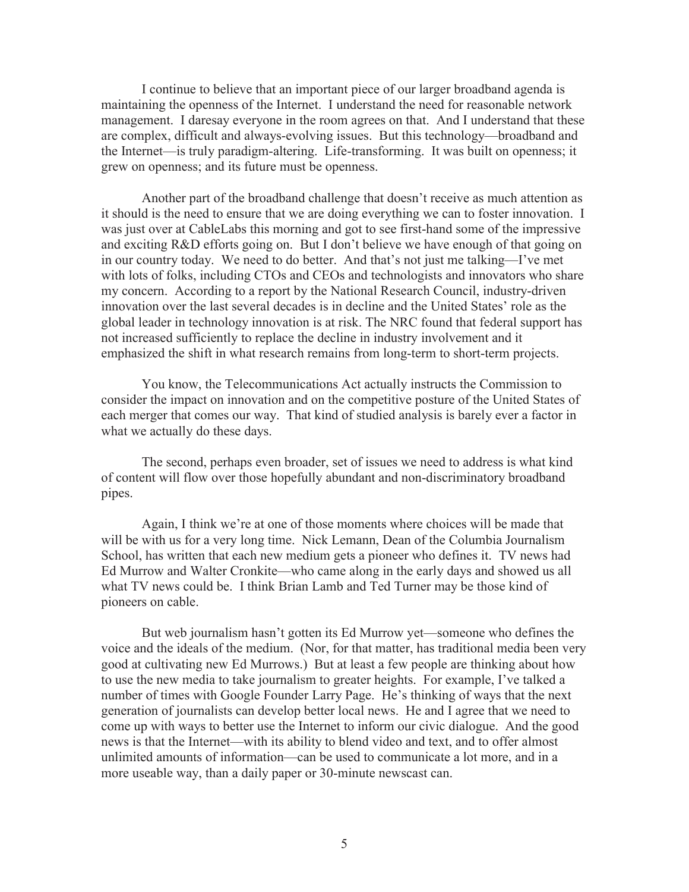I continue to believe that an important piece of our larger broadband agenda is maintaining the openness of the Internet. I understand the need for reasonable network management. I daresay everyone in the room agrees on that. And I understand that these are complex, difficult and always-evolving issues. But this technology—broadband and the Internet—is truly paradigm-altering. Life-transforming. It was built on openness; it grew on openness; and its future must be openness.

Another part of the broadband challenge that doesn't receive as much attention as it should is the need to ensure that we are doing everything we can to foster innovation. I was just over at CableLabs this morning and got to see first-hand some of the impressive and exciting R&D efforts going on. But I don't believe we have enough of that going on in our country today. We need to do better. And that's not just me talking—I've met with lots of folks, including CTOs and CEOs and technologists and innovators who share my concern. According to a report by the National Research Council, industry-driven innovation over the last several decades is in decline and the United States' role as the global leader in technology innovation is at risk. The NRC found that federal support has not increased sufficiently to replace the decline in industry involvement and it emphasized the shift in what research remains from long-term to short-term projects.

You know, the Telecommunications Act actually instructs the Commission to consider the impact on innovation and on the competitive posture of the United States of each merger that comes our way. That kind of studied analysis is barely ever a factor in what we actually do these days.

The second, perhaps even broader, set of issues we need to address is what kind of content will flow over those hopefully abundant and non-discriminatory broadband pipes.

Again, I think we're at one of those moments where choices will be made that will be with us for a very long time. Nick Lemann, Dean of the Columbia Journalism School, has written that each new medium gets a pioneer who defines it. TV news had Ed Murrow and Walter Cronkite—who came along in the early days and showed us all what TV news could be. I think Brian Lamb and Ted Turner may be those kind of pioneers on cable.

But web journalism hasn't gotten its Ed Murrow yet—someone who defines the voice and the ideals of the medium. (Nor, for that matter, has traditional media been very good at cultivating new Ed Murrows.) But at least a few people are thinking about how to use the new media to take journalism to greater heights. For example, I've talked a number of times with Google Founder Larry Page. He's thinking of ways that the next generation of journalists can develop better local news. He and I agree that we need to come up with ways to better use the Internet to inform our civic dialogue. And the good news is that the Internet—with its ability to blend video and text, and to offer almost unlimited amounts of information—can be used to communicate a lot more, and in a more useable way, than a daily paper or 30-minute newscast can.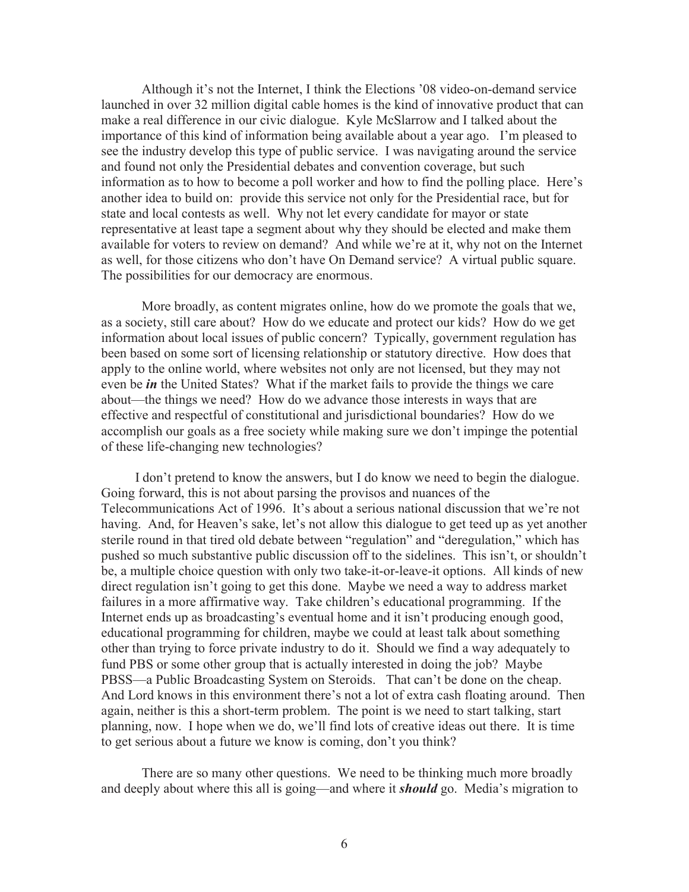Although it's not the Internet, I think the Elections '08 video-on-demand service launched in over 32 million digital cable homes is the kind of innovative product that can make a real difference in our civic dialogue. Kyle McSlarrow and I talked about the importance of this kind of information being available about a year ago. I'm pleased to see the industry develop this type of public service. I was navigating around the service and found not only the Presidential debates and convention coverage, but such information as to how to become a poll worker and how to find the polling place. Here's another idea to build on: provide this service not only for the Presidential race, but for state and local contests as well. Why not let every candidate for mayor or state representative at least tape a segment about why they should be elected and make them available for voters to review on demand? And while we're at it, why not on the Internet as well, for those citizens who don't have On Demand service? A virtual public square. The possibilities for our democracy are enormous.

More broadly, as content migrates online, how do we promote the goals that we, as a society, still care about? How do we educate and protect our kids? How do we get information about local issues of public concern? Typically, government regulation has been based on some sort of licensing relationship or statutory directive. How does that apply to the online world, where websites not only are not licensed, but they may not even be *in* the United States? What if the market fails to provide the things we care about—the things we need? How do we advance those interests in ways that are effective and respectful of constitutional and jurisdictional boundaries? How do we accomplish our goals as a free society while making sure we don't impinge the potential of these life-changing new technologies?

I don't pretend to know the answers, but I do know we need to begin the dialogue. Going forward, this is not about parsing the provisos and nuances of the Telecommunications Act of 1996. It's about a serious national discussion that we're not having. And, for Heaven's sake, let's not allow this dialogue to get teed up as yet another sterile round in that tired old debate between "regulation" and "deregulation," which has pushed so much substantive public discussion off to the sidelines. This isn't, or shouldn't be, a multiple choice question with only two take-it-or-leave-it options. All kinds of new direct regulation isn't going to get this done. Maybe we need a way to address market failures in a more affirmative way. Take children's educational programming. If the Internet ends up as broadcasting's eventual home and it isn't producing enough good, educational programming for children, maybe we could at least talk about something other than trying to force private industry to do it. Should we find a way adequately to fund PBS or some other group that is actually interested in doing the job? Maybe PBSS—a Public Broadcasting System on Steroids. That can't be done on the cheap. And Lord knows in this environment there's not a lot of extra cash floating around. Then again, neither is this a short-term problem. The point is we need to start talking, start planning, now. I hope when we do, we'll find lots of creative ideas out there. It is time to get serious about a future we know is coming, don't you think?

There are so many other questions. We need to be thinking much more broadly and deeply about where this all is going—and where it *should* go. Media's migration to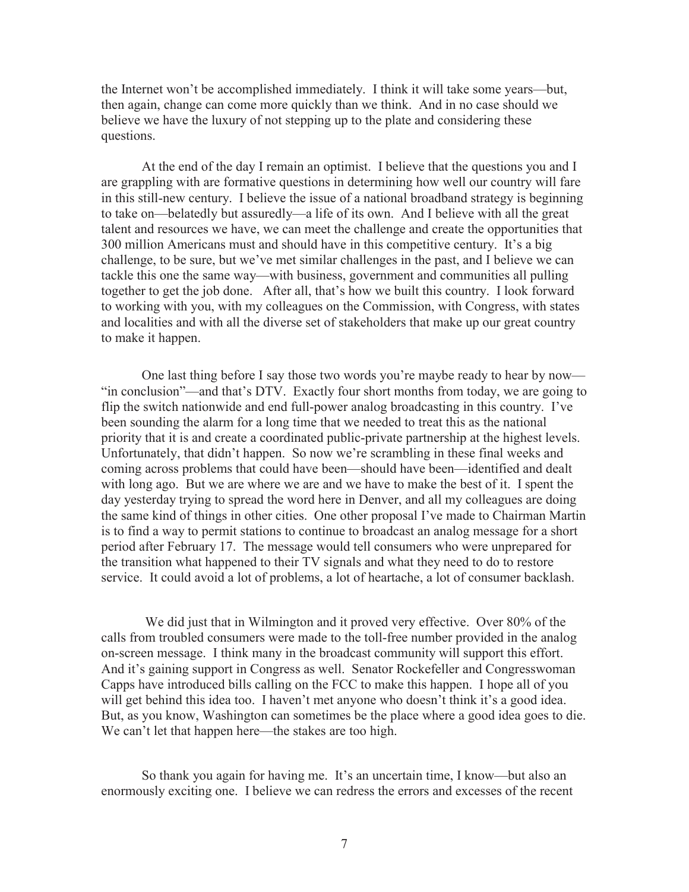the Internet won't be accomplished immediately. I think it will take some years—but, then again, change can come more quickly than we think. And in no case should we believe we have the luxury of not stepping up to the plate and considering these questions.

At the end of the day I remain an optimist. I believe that the questions you and I are grappling with are formative questions in determining how well our country will fare in this still-new century. I believe the issue of a national broadband strategy is beginning to take on—belatedly but assuredly—a life of its own. And I believe with all the great talent and resources we have, we can meet the challenge and create the opportunities that 300 million Americans must and should have in this competitive century. It's a big challenge, to be sure, but we've met similar challenges in the past, and I believe we can tackle this one the same way—with business, government and communities all pulling together to get the job done. After all, that's how we built this country. I look forward to working with you, with my colleagues on the Commission, with Congress, with states and localities and with all the diverse set of stakeholders that make up our great country to make it happen.

One last thing before I say those two words you're maybe ready to hear by now— "in conclusion"—and that's DTV. Exactly four short months from today, we are going to flip the switch nationwide and end full-power analog broadcasting in this country. I've been sounding the alarm for a long time that we needed to treat this as the national priority that it is and create a coordinated public-private partnership at the highest levels. Unfortunately, that didn't happen. So now we're scrambling in these final weeks and coming across problems that could have been—should have been—identified and dealt with long ago. But we are where we are and we have to make the best of it. I spent the day yesterday trying to spread the word here in Denver, and all my colleagues are doing the same kind of things in other cities. One other proposal I've made to Chairman Martin is to find a way to permit stations to continue to broadcast an analog message for a short period after February 17. The message would tell consumers who were unprepared for the transition what happened to their TV signals and what they need to do to restore service. It could avoid a lot of problems, a lot of heartache, a lot of consumer backlash.

We did just that in Wilmington and it proved very effective. Over 80% of the calls from troubled consumers were made to the toll-free number provided in the analog on-screen message. I think many in the broadcast community will support this effort. And it's gaining support in Congress as well. Senator Rockefeller and Congresswoman Capps have introduced bills calling on the FCC to make this happen. I hope all of you will get behind this idea too. I haven't met anyone who doesn't think it's a good idea. But, as you know, Washington can sometimes be the place where a good idea goes to die. We can't let that happen here—the stakes are too high.

So thank you again for having me. It's an uncertain time, I know—but also an enormously exciting one. I believe we can redress the errors and excesses of the recent